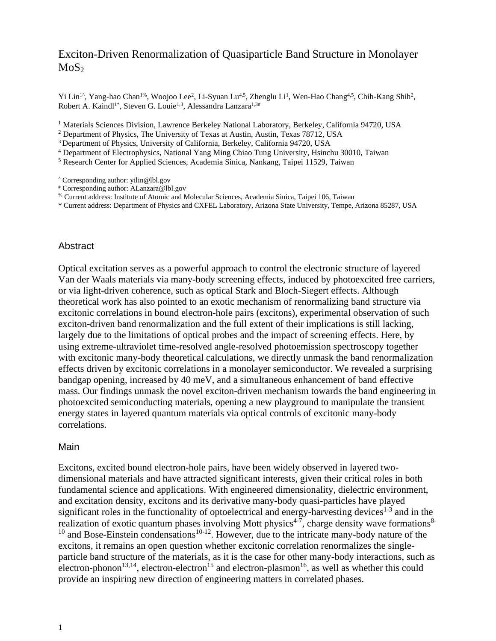# Exciton-Driven Renormalization of Quasiparticle Band Structure in Monolayer  $MoS<sub>2</sub>$

Yi Lin<sup>1^</sup>, Yang-hao Chan<sup>1%</sup>, Woojoo Lee<sup>2</sup>, Li-Syuan Lu<sup>4,5</sup>, Zhenglu Li<sup>1</sup>, Wen-Hao Chang<sup>4,5</sup>, Chih-Kang Shih<sup>2</sup>, Robert A. Kaindl<sup>1\*</sup>, Steven G. Louie<sup>1,3</sup>, Alessandra Lanzara<sup>1,3#</sup>

<sup>1</sup> Materials Sciences Division, Lawrence Berkeley National Laboratory, Berkeley, California 94720, USA

<sup>2</sup> Department of Physics, The University of Texas at Austin, Austin, Texas 78712, USA

<sup>3</sup> Department of Physics, University of California, Berkeley, California 94720, USA

<sup>4</sup> Department of Electrophysics, National Yang Ming Chiao Tung University, Hsinchu 30010, Taiwan

<sup>5</sup> Research Center for Applied Sciences, Academia Sinica, Nankang, Taipei 11529, Taiwan

 $\degree$  Corresponding author[: yilin@lbl.gov](mailto:yilin@lbl.gov)

# Corresponding author: ALanzara@lbl.gov

% Current address: Institute of Atomic and Molecular Sciences, Academia Sinica, Taipei 106, Taiwan

\* Current address: Department of Physics and CXFEL Laboratory, Arizona State University, Tempe, Arizona 85287, USA

### **Abstract**

Optical excitation serves as a powerful approach to control the electronic structure of layered Van der Waals materials via many-body screening effects, induced by photoexcited free carriers, or via light-driven coherence, such as optical Stark and Bloch-Siegert effects. Although theoretical work has also pointed to an exotic mechanism of renormalizing band structure via excitonic correlations in bound electron-hole pairs (excitons), experimental observation of such exciton-driven band renormalization and the full extent of their implications is still lacking, largely due to the limitations of optical probes and the impact of screening effects. Here, by using extreme-ultraviolet time-resolved angle-resolved photoemission spectroscopy together with excitonic many-body theoretical calculations, we directly unmask the band renormalization effects driven by excitonic correlations in a monolayer semiconductor. We revealed a surprising bandgap opening, increased by 40 meV, and a simultaneous enhancement of band effective mass. Our findings unmask the novel exciton-driven mechanism towards the band engineering in photoexcited semiconducting materials, opening a new playground to manipulate the transient energy states in layered quantum materials via optical controls of excitonic many-body correlations.

#### Main

Excitons, excited bound electron-hole pairs, have been widely observed in layered twodimensional materials and have attracted significant interests, given their critical roles in both fundamental science and applications. With engineered dimensionality, dielectric environment, and excitation density, excitons and its derivative many-body quasi-particles have played significant roles in the functionality of optoelectrical and energy-harvesting devices $1-3$  and in the realization of exotic quantum phases involving Mott physics<sup>4-7</sup>, charge density wave formations<sup>8-</sup>  $10$  and Bose-Einstein condensations<sup>10-12</sup>. However, due to the intricate many-body nature of the excitons, it remains an open question whether excitonic correlation renormalizes the singleparticle band structure of the materials, as it is the case for other many-body interactions, such as electron-phonon<sup>13,14</sup>, electron-electron<sup>15</sup> and electron-plasmon<sup>16</sup>, as well as whether this could provide an inspiring new direction of engineering matters in correlated phases.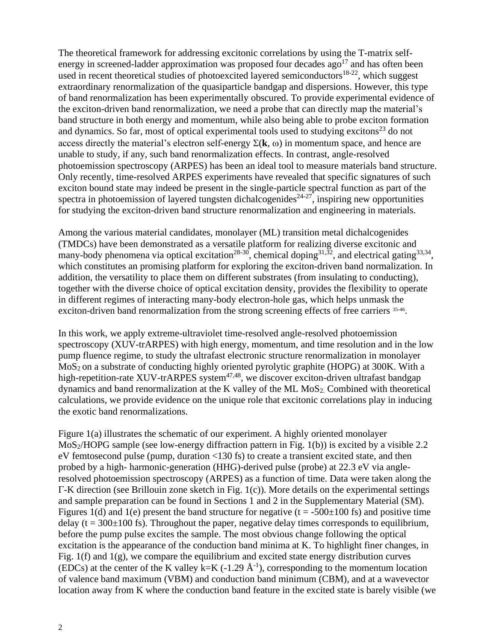The theoretical framework for addressing excitonic correlations by using the T-matrix selfenergy in screened-ladder approximation was proposed four decades  $a\bar{g}o^{17}$  and has often been used in recent theoretical studies of photoexcited layered semiconductors<sup>18-22</sup>, which suggest extraordinary renormalization of the quasiparticle bandgap and dispersions. However, this type of band renormalization has been experimentally obscured. To provide experimental evidence of the exciton-driven band renormalization, we need a probe that can directly map the material's band structure in both energy and momentum, while also being able to probe exciton formation and dynamics. So far, most of optical experimental tools used to studying excitons $^{23}$  do not access directly the material's electron self-energy  $\Sigma(k, \omega)$  in momentum space, and hence are unable to study, if any, such band renormalization effects. In contrast, angle-resolved photoemission spectroscopy (ARPES) has been an ideal tool to measure materials band structure. Only recently, time-resolved ARPES experiments have revealed that specific signatures of such exciton bound state may indeed be present in the single-particle spectral function as part of the spectra in photoemission of layered tungsten dichalcogenides<sup> $24-27$ </sup>, inspiring new opportunities for studying the exciton-driven band structure renormalization and engineering in materials.

Among the various material candidates, monolayer (ML) transition metal dichalcogenides (TMDCs) have been demonstrated as a versatile platform for realizing diverse excitonic and many-body phenomena via optical excitation<sup>28-30</sup>, chemical doping<sup>31,32</sup>, and electrical gating<sup>33,34</sup>, which constitutes an promising platform for exploring the exciton-driven band normalization. In addition, the versatility to place them on different substrates (from insulating to conducting), together with the diverse choice of optical excitation density, provides the flexibility to operate in different regimes of interacting many-body electron-hole gas, which helps unmask the exciton-driven band renormalization from the strong screening effects of free carriers 35-46.

In this work, we apply extreme-ultraviolet time-resolved angle-resolved photoemission spectroscopy (XUV-trARPES) with high energy, momentum, and time resolution and in the low pump fluence regime, to study the ultrafast electronic structure renormalization in monolayer MoS2 on a substrate of conducting highly oriented pyrolytic graphite (HOPG) at 300K. With a high-repetition-rate XUV-trARPES system $47,48$ , we discover exciton-driven ultrafast bandgap dynamics and band renormalization at the K valley of the ML MoS2. Combined with theoretical calculations, we provide evidence on the unique role that excitonic correlations play in inducing the exotic band renormalizations.

Figure 1(a) illustrates the schematic of our experiment. A highly oriented monolayer MoS<sub>2</sub>/HOPG sample (see low-energy diffraction pattern in Fig. 1(b)) is excited by a visible 2.2 eV femtosecond pulse (pump, duration <130 fs) to create a transient excited state, and then probed by a high- harmonic-generation (HHG)-derived pulse (probe) at 22.3 eV via angleresolved photoemission spectroscopy (ARPES) as a function of time. Data were taken along the Γ-K direction (see Brillouin zone sketch in Fig. 1(c)). More details on the experimental settings and sample preparation can be found in Sections 1 and 2 in the Supplementary Material (SM). Figures 1(d) and 1(e) present the band structure for negative ( $t = -500\pm100$  fs) and positive time delay ( $t = 300 \pm 100$  fs). Throughout the paper, negative delay times corresponds to equilibrium, before the pump pulse excites the sample. The most obvious change following the optical excitation is the appearance of the conduction band minima at K. To highlight finer changes, in Fig. 1(f) and 1(g), we compare the equilibrium and excited state energy distribution curves (EDCs) at the center of the K valley k=K (-1.29  $\AA$ <sup>-1</sup>), corresponding to the momentum location of valence band maximum (VBM) and conduction band minimum (CBM), and at a wavevector location away from K where the conduction band feature in the excited state is barely visible (we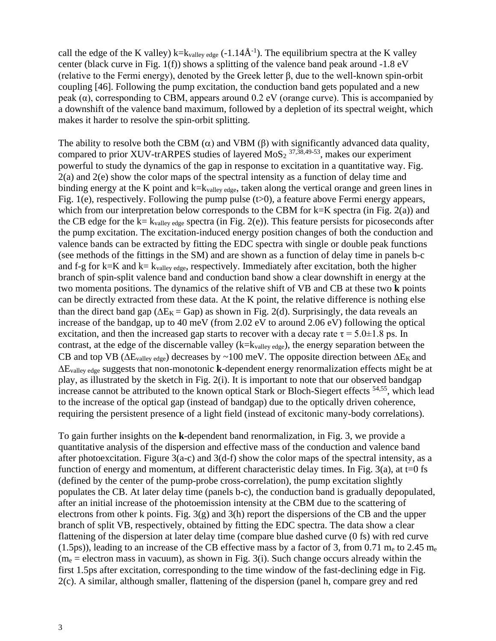call the edge of the K valley) k= $k_{\text{valley edge}}$  (-1.14 $\AA$ <sup>-1</sup>). The equilibrium spectra at the K valley center (black curve in Fig. 1(f)) shows a splitting of the valence band peak around -1.8 eV (relative to the Fermi energy), denoted by the Greek letter β, due to the well-known spin-orbit coupling [46]. Following the pump excitation, the conduction band gets populated and a new peak  $(\alpha)$ , corresponding to CBM, appears around 0.2 eV (orange curve). This is accompanied by a downshift of the valence band maximum, followed by a depletion of its spectral weight, which makes it harder to resolve the spin-orbit splitting.

The ability to resolve both the CBM  $(\alpha)$  and VBM  $(\beta)$  with significantly advanced data quality, compared to prior XUV-trARPES studies of layered  $MoS<sub>2</sub>$ <sup>37,38,49-53</sup>, makes our experiment powerful to study the dynamics of the gap in response to excitation in a quantitative way. Fig. 2(a) and 2(e) show the color maps of the spectral intensity as a function of delay time and binding energy at the K point and  $k=k_{value}$ , taken along the vertical orange and green lines in Fig. 1(e), respectively. Following the pump pulse ( $t>0$ ), a feature above Fermi energy appears, which from our interpretation below corresponds to the CBM for  $k=K$  spectra (in Fig. 2(a)) and the CB edge for the  $k=$  k<sub>valley edge</sub> spectra (in Fig. 2(e)). This feature persists for picoseconds after the pump excitation. The excitation-induced energy position changes of both the conduction and valence bands can be extracted by fitting the EDC spectra with single or double peak functions (see methods of the fittings in the SM) and are shown as a function of delay time in panels b-c and f-g for k=K and k=  $k_{\text{vallev edge}}$ , respectively. Immediately after excitation, both the higher branch of spin-split valence band and conduction band show a clear downshift in energy at the two momenta positions. The dynamics of the relative shift of VB and CB at these two **k** points can be directly extracted from these data. At the K point, the relative difference is nothing else than the direct band gap ( $\Delta E_K = Gap$ ) as shown in Fig. 2(d). Surprisingly, the data reveals an increase of the bandgap, up to 40 meV (from 2.02 eV to around 2.06 eV) following the optical excitation, and then the increased gap starts to recover with a decay rate  $\tau = 5.0 \pm 1.8$  ps. In contrast, at the edge of the discernable valley (k=kvalley edge), the energy separation between the CB and top VB ( $\Delta E_{valley \ edge}$ ) decreases by ~100 meV. The opposite direction between  $\Delta E_K$  and Evalley edge suggests that non-monotonic **k**-dependent energy renormalization effects might be at play, as illustrated by the sketch in Fig. 2(i). It is important to note that our observed bandgap increase cannot be attributed to the known optical Stark or Bloch-Siegert effects <sup>54,55</sup>, which lead to the increase of the optical gap (instead of bandgap) due to the optically driven coherence, requiring the persistent presence of a light field (instead of excitonic many-body correlations).

To gain further insights on the **k**-dependent band renormalization, in Fig. 3, we provide a quantitative analysis of the dispersion and effective mass of the conduction and valence band after photoexcitation. Figure  $3(a-c)$  and  $3(d-f)$  show the color maps of the spectral intensity, as a function of energy and momentum, at different characteristic delay times. In Fig. 3(a), at  $t=0$  fs (defined by the center of the pump-probe cross-correlation), the pump excitation slightly populates the CB. At later delay time (panels b-c), the conduction band is gradually depopulated, after an initial increase of the photoemission intensity at the CBM due to the scattering of electrons from other k points. Fig. 3(g) and 3(h) report the dispersions of the CB and the upper branch of split VB, respectively, obtained by fitting the EDC spectra. The data show a clear flattening of the dispersion at later delay time (compare blue dashed curve (0 fs) with red curve (1.5ps)), leading to an increase of the CB effective mass by a factor of 3, from 0.71  $m_e$  to 2.45  $m_e$  $(m_e = 1$ electron mass in vacuum), as shown in Fig. 3(i). Such change occurs already within the first 1.5ps after excitation, corresponding to the time window of the fast-declining edge in Fig. 2(c). A similar, although smaller, flattening of the dispersion (panel h, compare grey and red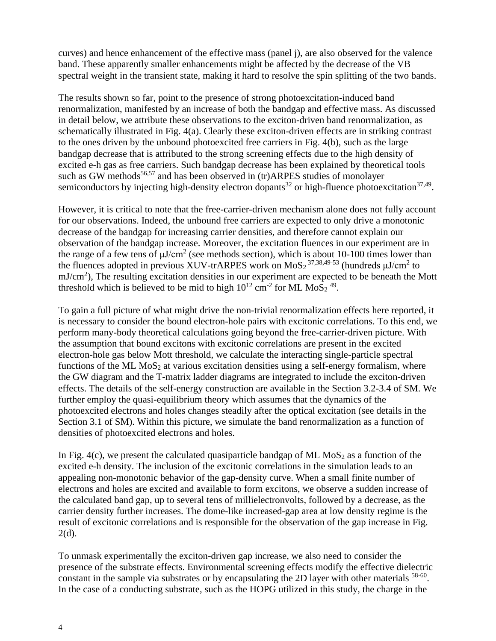curves) and hence enhancement of the effective mass (panel j), are also observed for the valence band. These apparently smaller enhancements might be affected by the decrease of the VB spectral weight in the transient state, making it hard to resolve the spin splitting of the two bands.

The results shown so far, point to the presence of strong photoexcitation-induced band renormalization, manifested by an increase of both the bandgap and effective mass. As discussed in detail below, we attribute these observations to the exciton-driven band renormalization, as schematically illustrated in Fig. 4(a). Clearly these exciton-driven effects are in striking contrast to the ones driven by the unbound photoexcited free carriers in Fig. 4(b), such as the large bandgap decrease that is attributed to the strong screening effects due to the high density of excited e-h gas as free carriers. Such bandgap decrease has been explained by theoretical tools such as GW methods<sup>56,57</sup> and has been observed in (tr)ARPES studies of monolayer semiconductors by injecting high-density electron dopants<sup>32</sup> or high-fluence photoexcitation<sup>37,49</sup>.

However, it is critical to note that the free-carrier-driven mechanism alone does not fully account for our observations. Indeed, the unbound free carriers are expected to only drive a monotonic decrease of the bandgap for increasing carrier densities, and therefore cannot explain our observation of the bandgap increase. Moreover, the excitation fluences in our experiment are in the range of a few tens of  $\mu$ J/cm<sup>2</sup> (see methods section), which is about 10-100 times lower than the fluences adopted in previous XUV-trARPES work on MoS<sub>2</sub><sup>37,38,49-53</sup> (hundreds  $\mu$ J/cm<sup>2</sup> to  $mJ/cm<sup>2</sup>$ ), The resulting excitation densities in our experiment are expected to be beneath the Mott threshold which is believed to be mid to high  $10^{12}$  cm<sup>-2</sup> for ML MoS<sub>2</sub><sup>49</sup>.

To gain a full picture of what might drive the non-trivial renormalization effects here reported, it is necessary to consider the bound electron-hole pairs with excitonic correlations. To this end, we perform many-body theoretical calculations going beyond the free-carrier-driven picture. With the assumption that bound excitons with excitonic correlations are present in the excited electron-hole gas below Mott threshold, we calculate the interacting single-particle spectral functions of the ML  $MoS<sub>2</sub>$  at various excitation densities using a self-energy formalism, where the GW diagram and the T-matrix ladder diagrams are integrated to include the exciton-driven effects. The details of the self-energy construction are available in the Section 3.2-3.4 of SM. We further employ the quasi-equilibrium theory which assumes that the dynamics of the photoexcited electrons and holes changes steadily after the optical excitation (see details in the Section 3.1 of SM). Within this picture, we simulate the band renormalization as a function of densities of photoexcited electrons and holes.

In Fig. 4(c), we present the calculated quasiparticle bandgap of ML  $MoS<sub>2</sub>$  as a function of the excited e-h density. The inclusion of the excitonic correlations in the simulation leads to an appealing non-monotonic behavior of the gap-density curve. When a small finite number of electrons and holes are excited and available to form excitons, we observe a sudden increase of the calculated band gap, up to several tens of millielectronvolts, followed by a decrease, as the carrier density further increases. The dome-like increased-gap area at low density regime is the result of excitonic correlations and is responsible for the observation of the gap increase in Fig. 2(d).

To unmask experimentally the exciton-driven gap increase, we also need to consider the presence of the substrate effects. Environmental screening effects modify the effective dielectric constant in the sample via substrates or by encapsulating the 2D layer with other materials <sup>58-60</sup>. In the case of a conducting substrate, such as the HOPG utilized in this study, the charge in the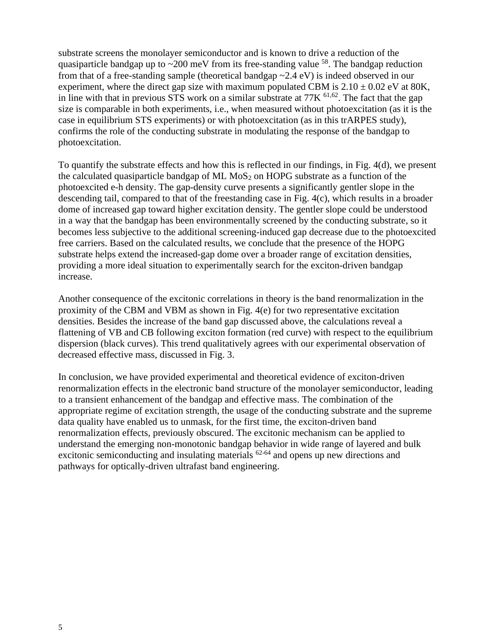substrate screens the monolayer semiconductor and is known to drive a reduction of the quasiparticle bandgap up to  $\sim$  200 meV from its free-standing value  $^{58}$ . The bandgap reduction from that of a free-standing sample (theoretical bandgap ~2.4 eV) is indeed observed in our experiment, where the direct gap size with maximum populated CBM is  $2.10 \pm 0.02$  eV at 80K, in line with that in previous STS work on a similar substrate at  $77K$   $61,62$ . The fact that the gap size is comparable in both experiments, i.e., when measured without photoexcitation (as it is the case in equilibrium STS experiments) or with photoexcitation (as in this trARPES study), confirms the role of the conducting substrate in modulating the response of the bandgap to photoexcitation.

To quantify the substrate effects and how this is reflected in our findings, in Fig. 4(d), we present the calculated quasiparticle bandgap of ML  $MoS<sub>2</sub>$  on HOPG substrate as a function of the photoexcited e-h density. The gap-density curve presents a significantly gentler slope in the descending tail, compared to that of the freestanding case in Fig. 4(c), which results in a broader dome of increased gap toward higher excitation density. The gentler slope could be understood in a way that the bandgap has been environmentally screened by the conducting substrate, so it becomes less subjective to the additional screening-induced gap decrease due to the photoexcited free carriers. Based on the calculated results, we conclude that the presence of the HOPG substrate helps extend the increased-gap dome over a broader range of excitation densities, providing a more ideal situation to experimentally search for the exciton-driven bandgap increase.

Another consequence of the excitonic correlations in theory is the band renormalization in the proximity of the CBM and VBM as shown in Fig.  $4(e)$  for two representative excitation densities. Besides the increase of the band gap discussed above, the calculations reveal a flattening of VB and CB following exciton formation (red curve) with respect to the equilibrium dispersion (black curves). This trend qualitatively agrees with our experimental observation of decreased effective mass, discussed in Fig. 3.

In conclusion, we have provided experimental and theoretical evidence of exciton-driven renormalization effects in the electronic band structure of the monolayer semiconductor, leading to a transient enhancement of the bandgap and effective mass. The combination of the appropriate regime of excitation strength, the usage of the conducting substrate and the supreme data quality have enabled us to unmask, for the first time, the exciton-driven band renormalization effects, previously obscured. The excitonic mechanism can be applied to understand the emerging non-monotonic bandgap behavior in wide range of layered and bulk excitonic semiconducting and insulating materials  $62-64$  and opens up new directions and pathways for optically-driven ultrafast band engineering.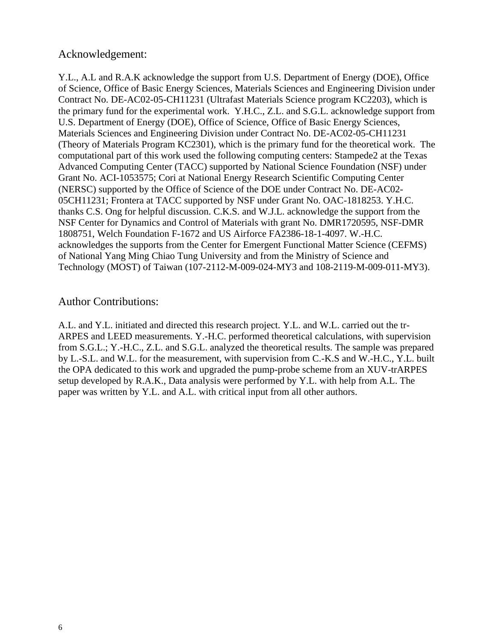## Acknowledgement:

Y.L., A.L and R.A.K acknowledge the support from U.S. Department of Energy (DOE), Office of Science, Office of Basic Energy Sciences, Materials Sciences and Engineering Division under Contract No. DE-AC02-05-CH11231 (Ultrafast Materials Science program KC2203), which is the primary fund for the experimental work. Y.H.C., Z.L. and S.G.L. acknowledge support from U.S. Department of Energy (DOE), Office of Science, Office of Basic Energy Sciences, Materials Sciences and Engineering Division under Contract No. DE-AC02-05-CH11231 (Theory of Materials Program KC2301), which is the primary fund for the theoretical work. The computational part of this work used the following computing centers: Stampede2 at the Texas Advanced Computing Center (TACC) supported by National Science Foundation (NSF) under Grant No. ACI-1053575; Cori at National Energy Research Scientific Computing Center (NERSC) supported by the Office of Science of the DOE under Contract No. DE-AC02- 05CH11231; Frontera at TACC supported by NSF under Grant No. OAC-1818253. Y.H.C. thanks C.S. Ong for helpful discussion. C.K.S. and W.J.L. acknowledge the support from the NSF Center for Dynamics and Control of Materials with grant No. DMR1720595, NSF-DMR 1808751, Welch Foundation F-1672 and US Airforce FA2386-18-1-4097. W.-H.C. acknowledges the supports from the Center for Emergent Functional Matter Science (CEFMS) of National Yang Ming Chiao Tung University and from the Ministry of Science and Technology (MOST) of Taiwan (107-2112-M-009-024-MY3 and 108-2119-M-009-011-MY3).

## Author Contributions:

A.L. and Y.L. initiated and directed this research project. Y.L. and W.L. carried out the tr-ARPES and LEED measurements. Y.-H.C. performed theoretical calculations, with supervision from S.G.L.; Y.-H.C., Z.L. and S.G.L. analyzed the theoretical results. The sample was prepared by L.-S.L. and W.L. for the measurement, with supervision from C.-K.S and W.-H.C., Y.L. built the OPA dedicated to this work and upgraded the pump-probe scheme from an XUV-trARPES setup developed by R.A.K., Data analysis were performed by Y.L. with help from A.L. The paper was written by Y.L. and A.L. with critical input from all other authors.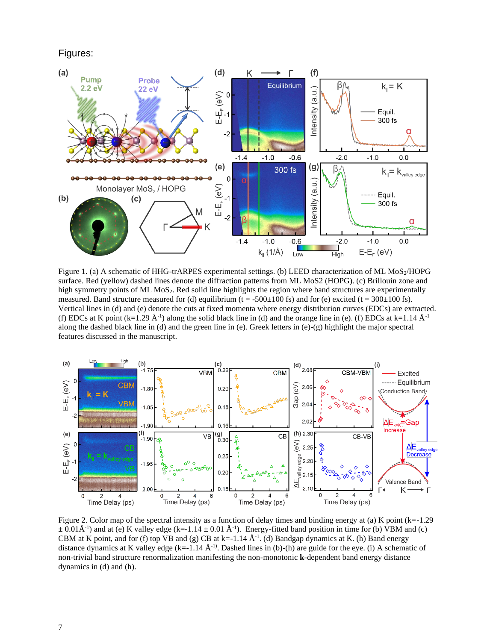### Figures:



Figure 1. (a) A schematic of HHG-trARPES experimental settings. (b) LEED characterization of ML MoS<sub>2</sub>/HOPG surface. Red (yellow) dashed lines denote the diffraction patterns from ML MoS2 (HOPG). (c) Brillouin zone and high symmetry points of ML MoS<sub>2</sub>. Red solid line highlights the region where band structures are experimentally measured. Band structure measured for (d) equilibrium (t = -500 $\pm$ 100 fs) and for (e) excited (t = 300 $\pm$ 100 fs). Vertical lines in (d) and (e) denote the cuts at fixed momenta where energy distribution curves (EDCs) are extracted. (f) EDCs at K point (k=1.29  $\AA$ <sup>-1</sup>) along the solid black line in (d) and the orange line in (e). (f) EDCs at k=1.14  $\AA$ <sup>-1</sup> along the dashed black line in (d) and the green line in (e). Greek letters in (e)-(g) highlight the major spectral features discussed in the manuscript.



Figure 2. Color map of the spectral intensity as a function of delay times and binding energy at (a) K point (k=-1.29  $\pm$  0.01Å<sup>-1</sup>) and at (e) K valley edge (k=-1.14  $\pm$  0.01 Å<sup>-1</sup>). Energy-fitted band position in time for (b) VBM and (c) CBM at K point, and for (f) top VB and (g) CB at k=-1.14  $\AA^{-1}$ . (d) Bandgap dynamics at K. (h) Band energy distance dynamics at K valley edge (k=-1.14 Å<sup>-1)</sup>. Dashed lines in (b)-(h) are guide for the eye. (i) A schematic of non-trivial band structure renormalization manifesting the non-monotonic **k**-dependent band energy distance dynamics in (d) and (h).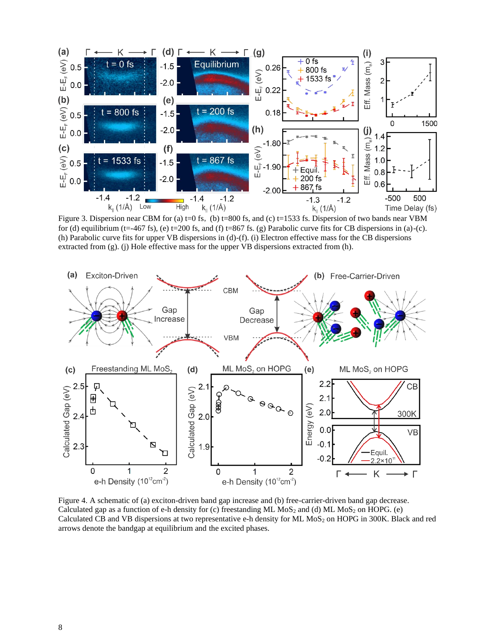

Figure 3. Dispersion near CBM for (a)  $t=0$  fs, (b)  $t=800$  fs, and (c)  $t=1533$  fs. Dispersion of two bands near VBM for (d) equilibrium (t=-467 fs), (e) t=200 fs, and (f) t=867 fs. (g) Parabolic curve fits for CB dispersions in (a)-(c). (h) Parabolic curve fits for upper VB dispersions in (d)-(f). (i) Electron effective mass for the CB dispersions extracted from (g). (j) Hole effective mass for the upper VB dispersions extracted from (h).



Figure 4. A schematic of (a) exciton-driven band gap increase and (b) free-carrier-driven band gap decrease. Calculated gap as a function of e-h density for (c) freestanding ML MoS<sub>2</sub> and (d) ML MoS<sub>2</sub> on HOPG. (e) Calculated CB and VB dispersions at two representative e-h density for ML MoS<sub>2</sub> on HOPG in 300K. Black and red arrows denote the bandgap at equilibrium and the excited phases.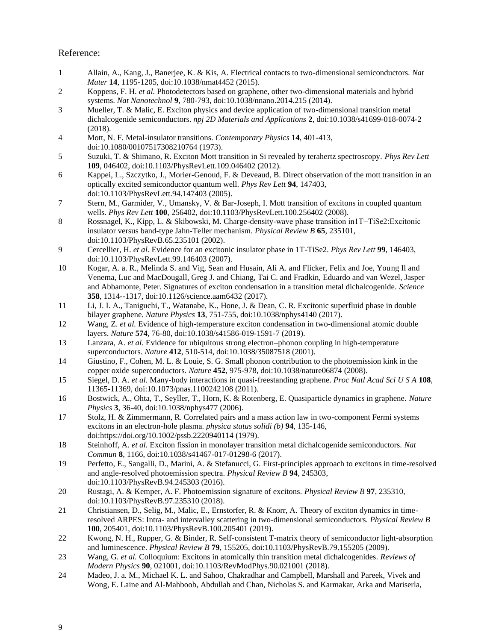### Reference:

- 1 Allain, A., Kang, J., Banerjee, K. & Kis, A. Electrical contacts to two-dimensional semiconductors. *Nat Mater* **14**, 1195-1205, doi:10.1038/nmat4452 (2015).
- 2 Koppens, F. H. *et al.* Photodetectors based on graphene, other two-dimensional materials and hybrid systems. *Nat Nanotechnol* **9**, 780-793, doi:10.1038/nnano.2014.215 (2014).
- 3 Mueller, T. & Malic, E. Exciton physics and device application of two-dimensional transition metal dichalcogenide semiconductors. *npj 2D Materials and Applications* **2**, doi:10.1038/s41699-018-0074-2 (2018).
- 4 Mott, N. F. Metal-insulator transitions. *Contemporary Physics* **14**, 401-413, doi:10.1080/00107517308210764 (1973).
- 5 Suzuki, T. & Shimano, R. Exciton Mott transition in Si revealed by terahertz spectroscopy. *Phys Rev Lett* **109**, 046402, doi:10.1103/PhysRevLett.109.046402 (2012).
- 6 Kappei, L., Szczytko, J., Morier-Genoud, F. & Deveaud, B. Direct observation of the mott transition in an optically excited semiconductor quantum well. *Phys Rev Lett* **94**, 147403, doi:10.1103/PhysRevLett.94.147403 (2005).
- 7 Stern, M., Garmider, V., Umansky, V. & Bar-Joseph, I. Mott transition of excitons in coupled quantum wells. *Phys Rev Lett* **100**, 256402, doi:10.1103/PhysRevLett.100.256402 (2008).
- 8 Rossnagel, K., Kipp, L. & Skibowski, M. Charge-density-wave phase transition in1T−TiSe2:Excitonic insulator versus band-type Jahn-Teller mechanism. *Physical Review B* **65**, 235101, doi:10.1103/PhysRevB.65.235101 (2002).
- 9 Cercellier, H. *et al.* Evidence for an excitonic insulator phase in 1T-TiSe2. *Phys Rev Lett* **99**, 146403, doi:10.1103/PhysRevLett.99.146403 (2007).
- 10 Kogar, A. a. R., Melinda S. and Vig, Sean and Husain, Ali A. and Flicker, Felix and Joe, Young Il and Venema, Luc and MacDougall, Greg J. and Chiang, Tai C. and Fradkin, Eduardo and van Wezel, Jasper and Abbamonte, Peter. Signatures of exciton condensation in a transition metal dichalcogenide. *Science* **358**, 1314--1317, doi:10.1126/science.aam6432 (2017).
- 11 Li, J. I. A., Taniguchi, T., Watanabe, K., Hone, J. & Dean, C. R. Excitonic superfluid phase in double bilayer graphene. *Nature Physics* **13**, 751-755, doi:10.1038/nphys4140 (2017).
- 12 Wang, Z. *et al.* Evidence of high-temperature exciton condensation in two-dimensional atomic double layers. *Nature* **574**, 76-80, doi:10.1038/s41586-019-1591-7 (2019).
- 13 Lanzara, A. *et al.* Evidence for ubiquitous strong electron–phonon coupling in high-temperature superconductors. *Nature* **412**, 510-514, doi:10.1038/35087518 (2001).
- 14 Giustino, F., Cohen, M. L. & Louie, S. G. Small phonon contribution to the photoemission kink in the copper oxide superconductors. *Nature* **452**, 975-978, doi:10.1038/nature06874 (2008).
- 15 Siegel, D. A. *et al.* Many-body interactions in quasi-freestanding graphene. *Proc Natl Acad Sci U S A* **108**, 11365-11369, doi:10.1073/pnas.1100242108 (2011).
- 16 Bostwick, A., Ohta, T., Seyller, T., Horn, K. & Rotenberg, E. Quasiparticle dynamics in graphene. *Nature Physics* **3**, 36-40, doi:10.1038/nphys477 (2006).
- 17 Stolz, H. & Zimmermann, R. Correlated pairs and a mass action law in two-component Fermi systems excitons in an electron-hole plasma. *physica status solidi (b)* **94**, 135-146, doi:https://doi.org/10.1002/pssb.2220940114 (1979).
- 18 Steinhoff, A. *et al.* Exciton fission in monolayer transition metal dichalcogenide semiconductors. *Nat Commun* **8**, 1166, doi:10.1038/s41467-017-01298-6 (2017).
- 19 Perfetto, E., Sangalli, D., Marini, A. & Stefanucci, G. First-principles approach to excitons in time-resolved and angle-resolved photoemission spectra. *Physical Review B* **94**, 245303, doi:10.1103/PhysRevB.94.245303 (2016).
- 20 Rustagi, A. & Kemper, A. F. Photoemission signature of excitons. *Physical Review B* **97**, 235310, doi:10.1103/PhysRevB.97.235310 (2018).
- 21 Christiansen, D., Selig, M., Malic, E., Ernstorfer, R. & Knorr, A. Theory of exciton dynamics in timeresolved ARPES: Intra- and intervalley scattering in two-dimensional semiconductors. *Physical Review B* **100**, 205401, doi:10.1103/PhysRevB.100.205401 (2019).
- 22 Kwong, N. H., Rupper, G. & Binder, R. Self-consistent T-matrix theory of semiconductor light-absorption and luminescence. *Physical Review B* **79**, 155205, doi:10.1103/PhysRevB.79.155205 (2009).
- 23 Wang, G. *et al.* Colloquium: Excitons in atomically thin transition metal dichalcogenides. *Reviews of Modern Physics* **90**, 021001, doi:10.1103/RevModPhys.90.021001 (2018).
- 24 Madeo, J. a. M., Michael K. L. and Sahoo, Chakradhar and Campbell, Marshall and Pareek, Vivek and Wong, E. Laine and Al-Mahboob, Abdullah and Chan, Nicholas S. and Karmakar, Arka and Mariserla,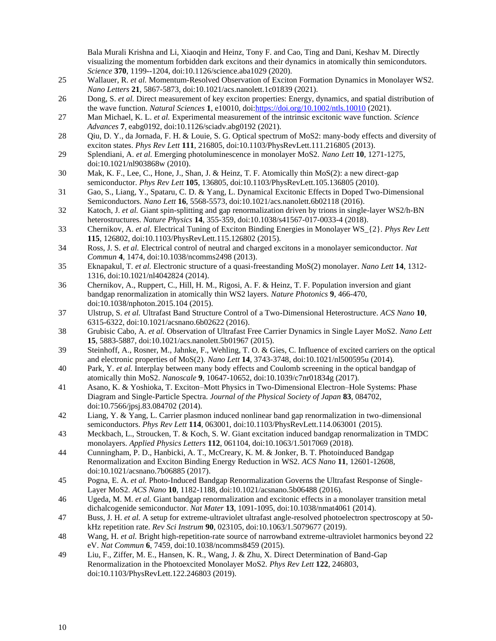Bala Murali Krishna and Li, Xiaoqin and Heinz, Tony F. and Cao, Ting and Dani, Keshav M. Directly visualizing the momentum forbidden dark excitons and their dynamics in atomically thin semicondutors. *Science* **370**, 1199--1204, doi:10.1126/science.aba1029 (2020).

- 25 Wallauer, R. *et al.* Momentum-Resolved Observation of Exciton Formation Dynamics in Monolayer WS2. *Nano Letters* **21**, 5867-5873, doi:10.1021/acs.nanolett.1c01839 (2021).
- 26 Dong, S. *et al.* Direct measurement of key exciton properties: Energy, dynamics, and spatial distribution of the wave function. *Natural Sciences* **1**, e10010, doi[:https://doi.org/10.1002/ntls.10010](https://doi.org/10.1002/ntls.10010) (2021).
- 27 Man Michael, K. L. *et al.* Experimental measurement of the intrinsic excitonic wave function. *Science Advances* **7**, eabg0192, doi:10.1126/sciadv.abg0192 (2021).
- 28 Qiu, D. Y., da Jornada, F. H. & Louie, S. G. Optical spectrum of MoS2: many-body effects and diversity of exciton states. *Phys Rev Lett* **111**, 216805, doi:10.1103/PhysRevLett.111.216805 (2013).
- 29 Splendiani, A. *et al.* Emerging photoluminescence in monolayer MoS2. *Nano Lett* **10**, 1271-1275, doi:10.1021/nl903868w (2010).
- 30 Mak, K. F., Lee, C., Hone, J., Shan, J. & Heinz, T. F. Atomically thin MoS(2): a new direct-gap semiconductor. *Phys Rev Lett* **105**, 136805, doi:10.1103/PhysRevLett.105.136805 (2010).
- 31 Gao, S., Liang, Y., Spataru, C. D. & Yang, L. Dynamical Excitonic Effects in Doped Two-Dimensional Semiconductors. *Nano Lett* **16**, 5568-5573, doi:10.1021/acs.nanolett.6b02118 (2016).
- 32 Katoch, J. *et al.* Giant spin-splitting and gap renormalization driven by trions in single-layer WS2/h-BN heterostructures. *Nature Physics* **14**, 355-359, doi:10.1038/s41567-017-0033-4 (2018).
- 33 Chernikov, A. *et al.* Electrical Tuning of Exciton Binding Energies in Monolayer WS\_{2}. *Phys Rev Lett* **115**, 126802, doi:10.1103/PhysRevLett.115.126802 (2015).
- 34 Ross, J. S. *et al.* Electrical control of neutral and charged excitons in a monolayer semiconductor. *Nat Commun* **4**, 1474, doi:10.1038/ncomms2498 (2013).
- 35 Eknapakul, T. *et al.* Electronic structure of a quasi-freestanding MoS(2) monolayer. *Nano Lett* **14**, 1312- 1316, doi:10.1021/nl4042824 (2014).
- 36 Chernikov, A., Ruppert, C., Hill, H. M., Rigosi, A. F. & Heinz, T. F. Population inversion and giant bandgap renormalization in atomically thin WS2 layers. *Nature Photonics* **9**, 466-470, doi:10.1038/nphoton.2015.104 (2015).
- 37 Ulstrup, S. *et al.* Ultrafast Band Structure Control of a Two-Dimensional Heterostructure. *ACS Nano* **10**, 6315-6322, doi:10.1021/acsnano.6b02622 (2016).
- 38 Grubisic Cabo, A. *et al.* Observation of Ultrafast Free Carrier Dynamics in Single Layer MoS2. *Nano Lett* **15**, 5883-5887, doi:10.1021/acs.nanolett.5b01967 (2015).
- 39 Steinhoff, A., Rosner, M., Jahnke, F., Wehling, T. O. & Gies, C. Influence of excited carriers on the optical and electronic properties of MoS(2). *Nano Lett* **14**, 3743-3748, doi:10.1021/nl500595u (2014).
- 40 Park, Y. *et al.* Interplay between many body effects and Coulomb screening in the optical bandgap of atomically thin MoS2. *Nanoscale* **9**, 10647-10652, doi:10.1039/c7nr01834g (2017).
- 41 Asano, K. & Yoshioka, T. Exciton–Mott Physics in Two-Dimensional Electron–Hole Systems: Phase Diagram and Single-Particle Spectra. *Journal of the Physical Society of Japan* **83**, 084702, doi:10.7566/jpsj.83.084702 (2014).
- 42 Liang, Y. & Yang, L. Carrier plasmon induced nonlinear band gap renormalization in two-dimensional semiconductors. *Phys Rev Lett* **114**, 063001, doi:10.1103/PhysRevLett.114.063001 (2015).
- 43 Meckbach, L., Stroucken, T. & Koch, S. W. Giant excitation induced bandgap renormalization in TMDC monolayers. *Applied Physics Letters* **112**, 061104, doi:10.1063/1.5017069 (2018).
- 44 Cunningham, P. D., Hanbicki, A. T., McCreary, K. M. & Jonker, B. T. Photoinduced Bandgap Renormalization and Exciton Binding Energy Reduction in WS2. *ACS Nano* **11**, 12601-12608, doi:10.1021/acsnano.7b06885 (2017).
- 45 Pogna, E. A. *et al.* Photo-Induced Bandgap Renormalization Governs the Ultrafast Response of Single-Layer MoS2. *ACS Nano* **10**, 1182-1188, doi:10.1021/acsnano.5b06488 (2016).
- 46 Ugeda, M. M. *et al.* Giant bandgap renormalization and excitonic effects in a monolayer transition metal dichalcogenide semiconductor. *Nat Mater* **13**, 1091-1095, doi:10.1038/nmat4061 (2014).
- 47 Buss, J. H. *et al.* A setup for extreme-ultraviolet ultrafast angle-resolved photoelectron spectroscopy at 50 kHz repetition rate. *Rev Sci Instrum* **90**, 023105, doi:10.1063/1.5079677 (2019).
- 48 Wang, H. *et al.* Bright high-repetition-rate source of narrowband extreme-ultraviolet harmonics beyond 22 eV. *Nat Commun* **6**, 7459, doi:10.1038/ncomms8459 (2015).
- 49 Liu, F., Ziffer, M. E., Hansen, K. R., Wang, J. & Zhu, X. Direct Determination of Band-Gap Renormalization in the Photoexcited Monolayer MoS2. *Phys Rev Lett* **122**, 246803, doi:10.1103/PhysRevLett.122.246803 (2019).